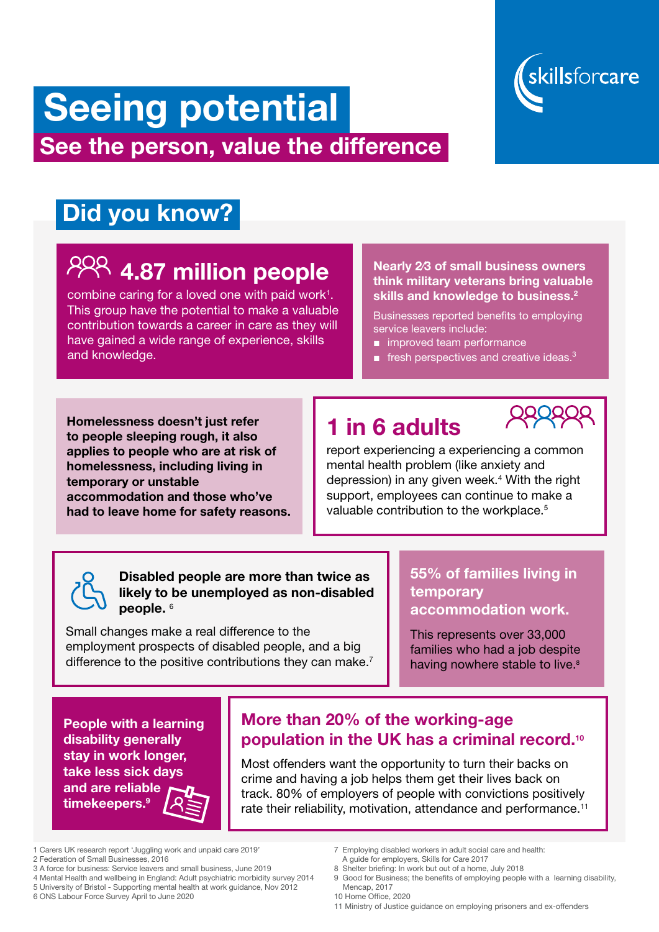# skillsforcare

# Seeing potential See the person, value the difference

# Did you know?

# $84$  4.87 million people

combine caring for a loved one with paid work $1$ . This group have the potential to make a valuable contribution towards a career in care as they will have gained a wide range of experience, skills and knowledge.

> report experiencing a experiencing a common mental health problem (like anxiety and depression) in any given week.<sup>4</sup> With the right support, employees can continue to make a valuable contribution to the workplace.<sup>5</sup>

### Nearly 2⁄3 of small business owners think military veterans bring valuable skills and knowledge to business.<sup>2</sup>

# 1 in 6 adults



This represents over 33,000 families who had a job despite having nowhere stable to live.<sup>8</sup>

Disabled people are more than twice as likely to be unemployed as non-disabled people. 6

Small changes make a real difference to the employment prospects of disabled people, and a big difference to the positive contributions they can make.<sup>7</sup>

Businesses reported benefits to employing service leavers include:

- improved team performance
- **■** fresh perspectives and creative ideas.<sup>3</sup>

Homelessness doesn't just refer to people sleeping rough, it also applies to people who are at risk of homelessness, including living in temporary or unstable accommodation and those who've had to leave home for safety reasons.

## 55% of families living in temporary accommodation work.

People with a learning disability generally stay in work longer, take less sick days and are reliable timekeepers.<sup>9</sup>

Most offenders want the opportunity to turn their backs on crime and having a job helps them get their lives back on track. 80% of employers of people with convictions positively rate their reliability, motivation, attendance and performance.<sup>11</sup>

- 1 Carers UK research report 'Juggling work and unpaid care 2019'
- 2 Federation of Small Businesses, 2016
- 3 A force for business: Service leavers and small business, June 2019
- 4 Mental Health and wellbeing in England: Adult psychiatric morbidity survey 2014 5 University of Bristol - Supporting mental health at work guidance, Nov 2012 6 ONS Labour Force Survey April to June 2020
- 7 Employing disabled workers in adult social care and health:
	- A guide for employers, Skills for Care 2017
- 8 Shelter briefing: In work but out of a home, July 2018
- 9 Good for Business; the benefits of employing people with a learning disability, Mencap, 2017
- 10 Home Office, 2020
- 11 Ministry of Justice guidance on employing prisoners and ex-offenders

# More than 20% of the working-age population in the UK has a criminal record.10